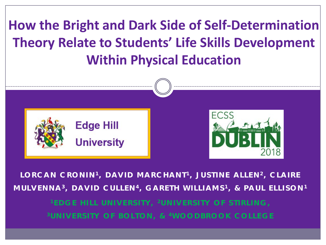# **How the Bright and Dark Side of Self-Determination Theory Relate to Students' Life Skills Development Within Physical Education**



**LORCAN CRONIN <sup>1</sup> , DAVID MARCHANT <sup>1</sup> , JUSTINE ALLEN <sup>2</sup> , CLAIRE MULVENNA <sup>3</sup> , DAVID CULLEN <sup>4</sup> , GARETH WILLIAMS <sup>1</sup> , & PAUL ELLISON <sup>1</sup> <sup>1</sup> EDGE HILL UNIVERSITY, 2UNIVERSITY OF STIRLING, 3UNIVERSITY OF BOLTON, & 4WOODBROOK COLLEGE**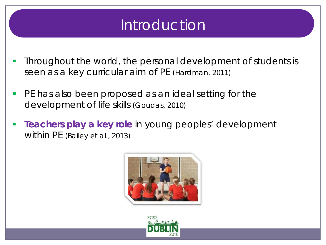# Introduction

- Throughout the world, the personal development of students is seen as a key curricular aim of PE (Hardman, 2011)
- **PE has also been proposed as an ideal setting for the** development of life skills (Goudas, 2010)
- **Teachers play a key role** in young peoples' development within PE (Bailey et al., 2013)



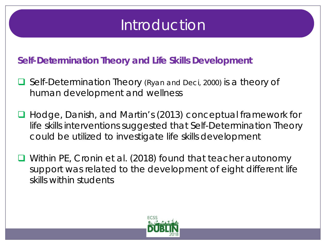# Introduction

#### **Self-Determination Theory and Life Skills Development**

- Self-Determination Theory (Ryan and Deci, 2000) is a theory of human development and wellness
- Hodge, Danish, and Martin's (2013) conceptual framework for life skills interventions suggested that Self-Determination Theory could be utilized to investigate life skills development
- Within PE, Cronin et al. (2018) found that teacher autonomy support was related to the development of eight different life skills within students

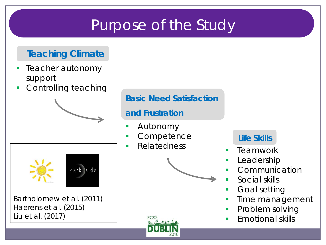# Purpose of the Study

### **Teaching Climate**

- Teacher autonomy support
- **Controlling teaching**

Bartholomew et al. (2011)

dark side

Haerens et al. (2015)

Liu et al. (2017)

#### **Basic Need Satisfaction**

#### **and Frustration**

- Autonomy
- **Competence**
- **Relatedness**

**ECSS** 



#### **Life Skills**

- Teamwork
- Leadership
- Communication
- Social skills
- Goal setting
- Time management
- Problem solving
- Emotional skills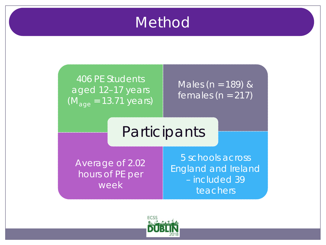## **Method**

### 406 PE Students aged 12–17 years (*M*age = 13.71 years)

Males (*n* = 189) & females (*n* = 217)

## **Participants**

Average of 2.02 hours of PE per week

5 schools across England and Ireland – included 39 teachers

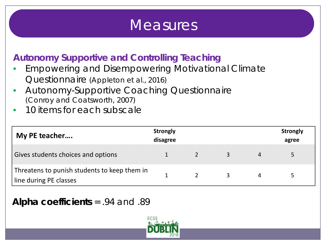## **Measures**

## **Autonomy Supportive and Controlling Teaching**

- Empowering and Disempowering Motivational Climate Questionnaire (Appleton et al., 2016)
- Autonomy-Supportive Coaching Questionnaire (Conroy and Coatsworth, 2007)
- 10 items for each subscale

| My PE teacher                                                          | <b>Strongly</b><br>disagree |  |   | <b>Strongly</b><br>agree |
|------------------------------------------------------------------------|-----------------------------|--|---|--------------------------|
| Gives students choices and options                                     |                             |  | 4 |                          |
| Threatens to punish students to keep them in<br>line during PE classes |                             |  |   |                          |

#### **Alpha coefficients** = .94 and .89

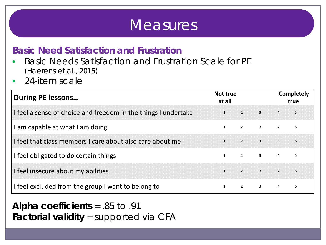## **Measures**

#### **Basic Need Satisfaction and Frustration**

- Basic Needs Satisfaction and Frustration Scale for PE (Haerens et al., 2015)
- 24-item scale

| <b>During PE lessons</b>                                       | Not true<br>at all |                         |                                |                | <b>Completely</b><br>true |
|----------------------------------------------------------------|--------------------|-------------------------|--------------------------------|----------------|---------------------------|
| I feel a sense of choice and freedom in the things I undertake | $\mathbf{1}$       |                         | $2 \t3 \t4$                    |                | 5                         |
| am capable at what I am doing                                  | $\mathbf{1}$       |                         | $2 \qquad 3 \qquad 4 \qquad 5$ |                |                           |
| I feel that class members I care about also care about me      | 1                  | $\sim$ 2                |                                | 45             |                           |
| I feel obligated to do certain things                          | $\mathbf{1}$       |                         | $2 \qquad 3 \qquad 4$          |                | 5                         |
| I feel insecure about my abilities                             | $\mathbf{1}$       |                         | 2 3 4 5                        |                |                           |
| I feel excluded from the group I want to belong to             | $\mathbf{1}$       | $\overline{\mathbf{c}}$ | $\overline{3}$                 | $\overline{4}$ | 5                         |

**Alpha coefficients** = .85 to .91 **Factorial validity** = supported via CFA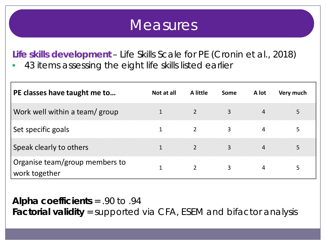## **Measures**

**Life skills development** – Life Skills Scale for PE (Cronin et al., 2018) 43 items assessing the eight life skills listed earlier

| PE classes have taught me to                    | Not at all   | A little       | Some | A lot | Very much |
|-------------------------------------------------|--------------|----------------|------|-------|-----------|
| Work well within a team/ group                  | $\mathbf 1$  | $\overline{2}$ | 3    | 4     | 5         |
| Set specific goals                              |              |                | 3    | 4     | 5         |
| Speak clearly to others                         | $\mathbf{1}$ | $\overline{2}$ | 3    | 4     | 5         |
| Organise team/group members to<br>work together |              | $\overline{2}$ | 3    |       |           |

**Alpha coefficients** = .90 to .94 **Factorial validity** = supported via CFA, ESEM and bifactor analysis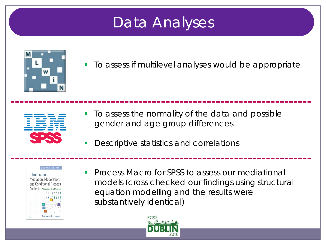# Data Analyses



To assess if multilevel analyses would be appropriate



- **To assess the normality of the data and possible** gender and age group differences
- **Descriptive statistics and correlations**



**Process Macro for SPSS to assess our mediational** models (cross checked our findings using structural equation modelling and the results were substantively identical)

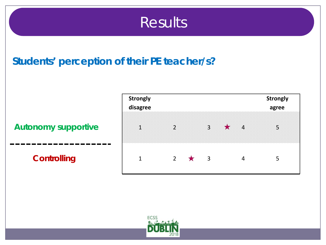## **Results**

## **Students' perception of their PE teacher/s?**

#### **Autonomy supportive**

-------------

#### **Controlling**

| <b>Strongly</b><br>disagree |                |         |                         |         |                | <b>Strongly</b><br>agree |
|-----------------------------|----------------|---------|-------------------------|---------|----------------|--------------------------|
|                             |                |         |                         |         |                |                          |
| $\mathbf{1}$                | $\overline{2}$ |         | $\overline{3}$          | $\star$ | $\overline{4}$ | 5                        |
|                             |                |         |                         |         |                |                          |
| $\mathbf{1}$                | $2^{\circ}$    | $\star$ | $\overline{\mathbf{3}}$ |         | 4              | 5                        |

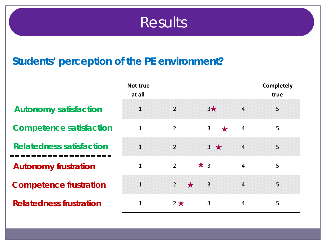## Results

## **Students' perception of the PE environment?**

**Autonomy satisfaction** 

**Competence satisfaction**

**Relatedness satisfaction**

**Autonomy frustration**

**Competence frustration**

**Relatedness frustration**

| Not true<br>at all |                        |                |                | <b>Completely</b><br>true |
|--------------------|------------------------|----------------|----------------|---------------------------|
| $\mathbf{1}$       | $\overline{2}$         | $3*$           | $\overline{4}$ | 5                         |
| $\mathbf{1}$       | $\overline{2}$         | 3<br>★         | $\overline{4}$ | 5                         |
| $\mathbf{1}$       | $\overline{2}$         | $3 \star$      | $\overline{4}$ | 5                         |
| $\mathbf{1}$       | $\overline{2}$         | $*3$           | $\overline{4}$ | 5                         |
| $\mathbf{1}$       | $2^{\circ}$<br>$\star$ | $\overline{3}$ | $\overline{4}$ | 5                         |
| $\mathbf{1}$       | $2*$                   | 3              | 4              | 5                         |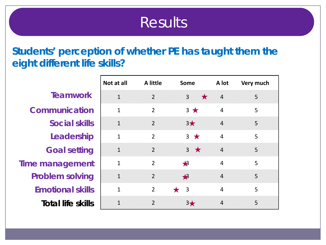## **Results**

## **Students' perception of whether PE has taught them the eight different life skills?**

|                          | Not at all     | <b>A</b> little | <b>Some</b>                              | A lot          | Very much |
|--------------------------|----------------|-----------------|------------------------------------------|----------------|-----------|
| <b>Teamwork</b>          | $\mathbf{1}$   | $\overline{2}$  | $\star$<br>$\overline{3}$                | $\overline{4}$ | 5         |
| <b>Communication</b>     | $\mathbf{1}$   | $\overline{2}$  | $3 \star$                                | $\overline{4}$ | 5         |
| <b>Social skills</b>     | $\mathbf{1}$   | $\overline{2}$  | $3\star$                                 | $\overline{4}$ | 5         |
| Leadership               | $\mathbf{1}$   | $\overline{2}$  | $3 \star$                                | $\overline{4}$ | 5         |
| <b>Goal setting</b>      | $\mathbf{1}$   | $\overline{2}$  | $3 \star$                                | $\overline{4}$ | 5         |
| Time management          | $\mathbf{1}$   | $\overline{2}$  | $\clubsuit$                              | $\overline{4}$ | 5         |
| <b>Problem solving</b>   | $\mathbf{1}$   | $\overline{2}$  | $\bigstar$                               | $\overline{4}$ | 5         |
| <b>Emotional skills</b>  | $\mathbf{1}$   | $\overline{2}$  | $\bigstar$<br>$\overline{\phantom{a}}$ 3 | $\overline{4}$ | 5         |
| <b>Total life skills</b> | $\overline{1}$ | $\overline{2}$  | $3\star$                                 | $\overline{4}$ | 5         |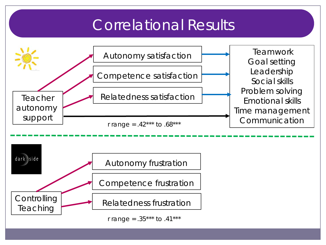# Correlational Results

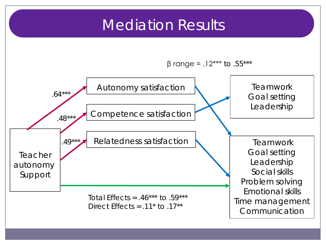## Mediation Results

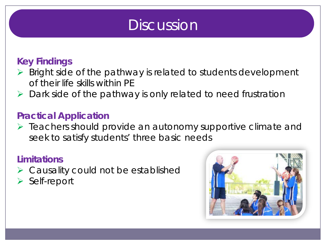## **Discussion**

## **Key Findings**

- $\triangleright$  Bright side of the pathway is related to students development of their life skills within PE
- $\triangleright$  Dark side of the pathway is only related to need frustration

#### **Practical Application**

 $\triangleright$  Teachers should provide an autonomy supportive climate and seek to satisfy students' three basic needs

#### **Limitations**

- $\triangleright$  Causality could not be established
- > Self-report

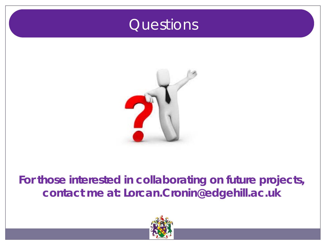## **Questions**



## **For those interested in collaborating on future projects, contact me at: Lorcan.Cronin@edgehill.ac.uk**

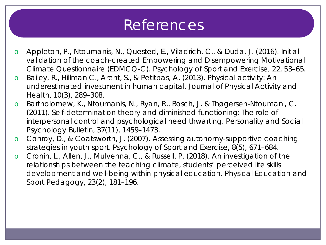## References

- o Appleton, P., Ntoumanis, N., Quested, E., Viladrich, C., & Duda, J. (2016). Initial validation of the coach-created Empowering and Disempowering Motivational Climate Questionnaire (EDMCQ-C). *Psychology of Sport and Exercise, 22*, 53–65.
- o Bailey, R., Hillman C., Arent, S., & Petitpas, A. (2013). Physical activity: An underestimated investment in human capital. *Journal of Physical Activity and Health, 10*(3), 289–308.
- o Bartholomew, K., Ntoumanis, N., Ryan, R., Bosch, J. & Thøgersen-Ntoumani, C. (2011). Self-determination theory and diminished functioning: The role of interpersonal control and psychological need thwarting. *Personality and Social Psychology Bulletin, 37*(11), 1459–1473.
- o Conroy, D., & Coatsworth, J. (2007). Assessing autonomy-supportive coaching strategies in youth sport. *Psychology of Sport and Exercise, 8*(5), 671–684.
- o Cronin, L., Allen, J., Mulvenna, C., & Russell, P. (2018). An investigation of the relationships between the teaching climate, students' perceived life skills development and well-being within physical education. *Physical Education and Sport Pedagogy, 23*(2), 181–196.